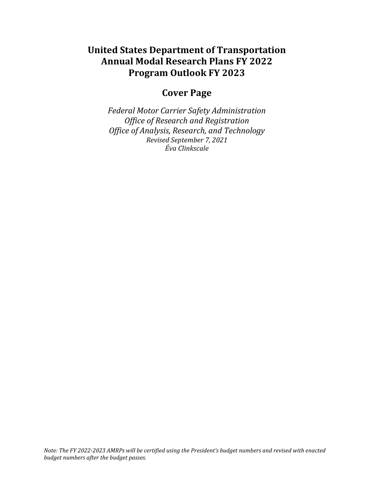# **United States Department of Transportation Annual Modal Research Plans FY 2022 Program Outlook FY 2023**

# **Cover Page**

*Federal Motor Carrier Safety Administration Office of Research and Registration Office of Analysis, Research, and Technology Revised September 7, 2021 Éva Clinkscale*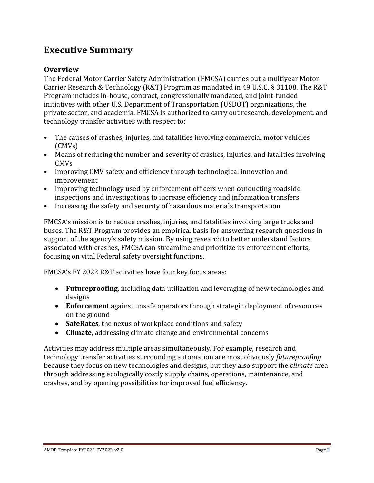# **Executive Summary**

# **Overview**

The Federal Motor Carrier Safety Administration (FMCSA) carries out a multiyear Motor Carrier Research & Technology (R&T) Program as mandated in 49 U.S.C. § 31108. The R&T Program includes in-house, contract, congressionally mandated, and joint-funded initiatives with other U.S. Department of Transportation (USDOT) organizations, the private sector, and academia. FMCSA is authorized to carry out research, development, and technology transfer activities with respect to:

- The causes of crashes, injuries, and fatalities involving commercial motor vehicles (CMVs)
- Means of reducing the number and severity of crashes, injuries, and fatalities involving CMVs
- Improving CMV safety and efficiency through technological innovation and improvement
- Improving technology used by enforcement officers when conducting roadside inspections and investigations to increase efficiency and information transfers
- Increasing the safety and security of hazardous materials transportation

FMCSA's mission is to reduce crashes, injuries, and fatalities involving large trucks and buses. The R&T Program provides an empirical basis for answering research questions in support of the agency's safety mission. By using research to better understand factors associated with crashes, FMCSA can streamline and prioritize its enforcement efforts, focusing on vital Federal safety oversight functions.

FMCSA's FY 2022 R&T activities have four key focus areas:

- **Futureproofing**, including data utilization and leveraging of new technologies and designs
- **Enforcement** against unsafe operators through strategic deployment of resources on the ground
- **SafeRates**, the nexus of workplace conditions and safety
- **Climate**, addressing climate change and environmental concerns

Activities may address multiple areas simultaneously. For example, research and technology transfer activities surrounding automation are most obviously *futureproofing* because they focus on new technologies and designs, but they also support the *climate* area through addressing ecologically costly supply chains, operations, maintenance, and crashes, and by opening possibilities for improved fuel efficiency.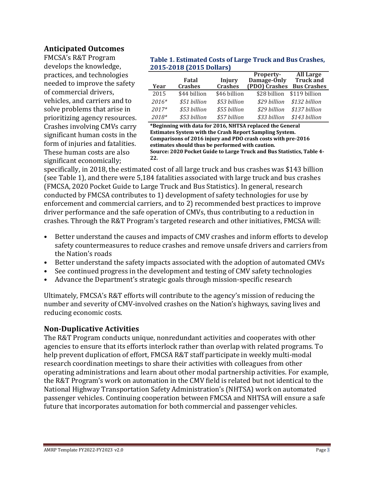#### **Anticipated Outcomes**

FMCSA's R&T Program develops the knowledge, practices, and technologies needed to improve the safety of commercial drivers, vehicles, and carriers and to solve problems that arise in prioritizing agency resources. Crashes involving CMVs carry significant human costs in the form of injuries and fatalities. These human costs are also significant economically;

#### <span id="page-2-0"></span>**Table 1. Estimated Costs of Large Truck and Bus Crashes, 2015-2018 (2015 Dollars)**

|         |                |              | Property-     | <b>All Large</b>   |
|---------|----------------|--------------|---------------|--------------------|
|         | Fatal          | Injury       | Damage-Only   | Truck and          |
| Year    | <b>Crashes</b> | Crashes      | (PDO) Crashes | <b>Bus Crashes</b> |
| 2015    | \$44 billion   | \$46 billion | \$28 billion  | \$119 billion      |
| $2016*$ | \$51 billion   | \$53 billion | \$29 billion  | \$132 billion      |
| 2017*   | \$53 billion   | \$55 billion | \$29 billion  | \$137 billion      |
| $2018*$ | \$53 billion   | \$57 billion | \$33 billion  | \$143 billion      |

**\*Beginning with data for 2016, NHTSA replaced the General Estimates System with the Crash Report Sampling System. Comparisons of 2016 injury and PDO crash costs with pre-2016 estimates should thus be performed with caution. Source: 2020 Pocket Guide to Large Truck and Bus Statistics, Table 4- 22.**

specifically, in 2018, the estimated cost of all large truck and bus crashes was \$143 billion (see [Table 1\)](#page-2-0), and there were 5,184 fatalities associated with large truck and bus crashes (FMCSA, 2020 Pocket Guide to Large Truck and Bus Statistics). In general, research conducted by FMCSA contributes to 1) development of safety technologies for use by enforcement and commercial carriers, and to 2) recommended best practices to improve driver performance and the safe operation of CMVs, thus contributing to a reduction in crashes. Through the R&T Program's targeted research and other initiatives, FMCSA will:

- Better understand the causes and impacts of CMV crashes and inform efforts to develop safety countermeasures to reduce crashes and remove unsafe drivers and carriers from the Nation's roads
- Better understand the safety impacts associated with the adoption of automated CMVs
- See continued progress in the development and testing of CMV safety technologies
- Advance the Department's strategic goals through mission-specific research

Ultimately, FMCSA's R&T efforts will contribute to the agency's mission of reducing the number and severity of CMV-involved crashes on the Nation's highways, saving lives and reducing economic costs.

## **Non-Duplicative Activities**

The R&T Program conducts unique, nonredundant activities and cooperates with other agencies to ensure that its efforts interlock rather than overlap with related programs. To help prevent duplication of effort, FMCSA R&T staff participate in weekly multi-modal research coordination meetings to share their activities with colleagues from other operating administrations and learn about other modal partnership activities. For example, the R&T Program's work on automation in the CMV field is related but not identical to the National Highway Transportation Safety Administration's (NHTSA) work on automated passenger vehicles. Continuing cooperation between FMCSA and NHTSA will ensure a safe future that incorporates automation for both commercial and passenger vehicles.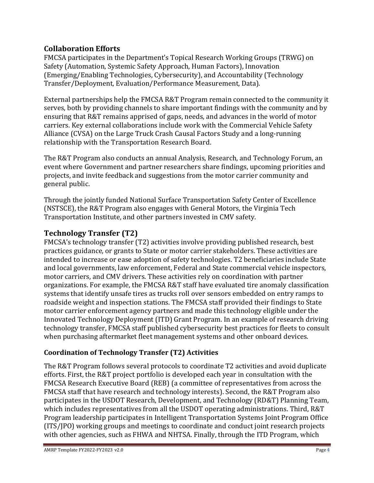# **Collaboration Efforts**

FMCSA participates in the Department's Topical Research Working Groups (TRWG) on Safety (Automation, Systemic Safety Approach, Human Factors), Innovation (Emerging/Enabling Technologies, Cybersecurity), and Accountability (Technology Transfer/Deployment, Evaluation/Performance Measurement, Data).

External partnerships help the FMCSA R&T Program remain connected to the community it serves, both by providing channels to share important findings with the community and by ensuring that R&T remains apprised of gaps, needs, and advances in the world of motor carriers. Key external collaborations include work with the Commercial Vehicle Safety Alliance (CVSA) on the Large Truck Crash Causal Factors Study and a long-running relationship with the Transportation Research Board.

The R&T Program also conducts an annual Analysis, Research, and Technology Forum, an event where Government and partner researchers share findings, upcoming priorities and projects, and invite feedback and suggestions from the motor carrier community and general public.

Through the jointly funded National Surface Transportation Safety Center of Excellence (NSTSCE), the R&T Program also engages with General Motors, the Virginia Tech Transportation Institute, and other partners invested in CMV safety.

# **Technology Transfer (T2)**

FMCSA's technology transfer (T2) activities involve providing published research, best practices guidance, or grants to State or motor carrier stakeholders. These activities are intended to increase or ease adoption of safety technologies. T2 beneficiaries include State and local governments, law enforcement, Federal and State commercial vehicle inspectors, motor carriers, and CMV drivers. These activities rely on coordination with partner organizations. For example, the FMCSA R&T staff have evaluated tire anomaly classification systems that identify unsafe tires as trucks roll over sensors embedded on entry ramps to roadside weight and inspection stations. The FMCSA staff provided their findings to State motor carrier enforcement agency partners and made this technology eligible under the Innovated Technology Deployment (ITD) Grant Program. In an example of research driving technology transfer, FMCSA staff published cybersecurity best practices for fleets to consult when purchasing aftermarket fleet management systems and other onboard devices.

## **Coordination of Technology Transfer (T2) Activities**

The R&T Program follows several protocols to coordinate T2 activities and avoid duplicate efforts. First, the R&T project portfolio is developed each year in consultation with the FMCSA Research Executive Board (REB) (a committee of representatives from across the FMCSA staff that have research and technology interests). Second, the R&T Program also participates in the USDOT Research, Development, and Technology (RD&T) Planning Team, which includes representatives from all the USDOT operating administrations. Third, R&T Program leadership participates in Intelligent Transportation Systems Joint Program Office (ITS/JPO) working groups and meetings to coordinate and conduct joint research projects with other agencies, such as FHWA and NHTSA. Finally, through the ITD Program, which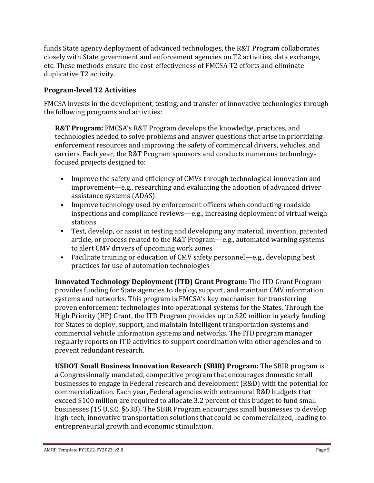funds State agency deployment of advanced technologies, the R&T Program collaborates closely with State government and enforcement agencies on T2 activities, data exchange, etc. These methods ensure the cost-effectiveness of FMCSA T2 efforts and eliminate duplicative T2 activity.

## **Program-level T2 Activities**

FMCSA invests in the development, testing, and transfer of innovative technologies through the following programs and activities:

**R&T Program:** FMCSA's R&T Program develops the knowledge, practices, and technologies needed to solve problems and answer questions that arise in prioritizing enforcement resources and improving the safety of commercial drivers, vehicles, and carriers. Each year, the R&T Program sponsors and conducts numerous technologyfocused projects designed to:

- Improve the safety and efficiency of CMVs through technological innovation and improvement—e.g., researching and evaluating the adoption of advanced driver assistance systems (ADAS)
- Improve technology used by enforcement officers when conducting roadside inspections and compliance reviews—e.g., increasing deployment of virtual weigh stations
- Test, develop, or assist in testing and developing any material, invention, patented article, or process related to the R&T Program—e.g., automated warning systems to alert CMV drivers of upcoming work zones
- Facilitate training or education of CMV safety personnel—e.g., developing best practices for use of automation technologies

**Innovated Technology Deployment (ITD) Grant Program:** The ITD Grant Program provides funding for State agencies to deploy, support, and maintain CMV information systems and networks. This program is FMCSA's key mechanism for transferring proven enforcement technologies into operational systems for the States. Through the High Priority (HP) Grant, the ITD Program provides up to \$20 million in yearly funding for States to deploy, support, and maintain intelligent transportation systems and commercial vehicle information systems and networks. The ITD program manager regularly reports on ITD activities to support coordination with other agencies and to prevent redundant research.

**USDOT Small Business Innovation Research (SBIR) Program:** The SBIR program is a Congressionally mandated, competitive program that encourages domestic small businesses to engage in Federal research and development (R&D) with the potential for commercialization. Each year, Federal agencies with extramural R&D budgets that exceed \$100 million are required to allocate 3.2 percent of this budget to fund small businesses (15 U.S.C. §638). The SBIR Program encourages small businesses to develop high-tech, innovative transportation solutions that could be commercialized, leading to entrepreneurial growth and economic stimulation.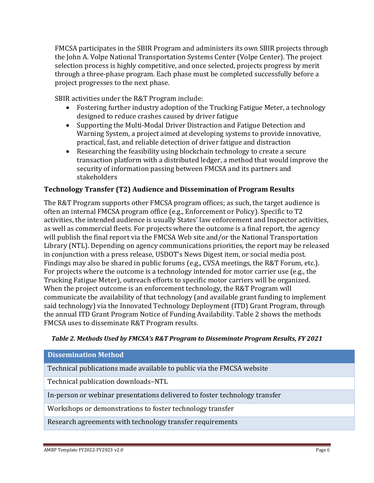FMCSA participates in the SBIR Program and administers its own SBIR projects through the John A. Volpe National Transportation Systems Center (Volpe Center). The project selection process is highly competitive, and once selected, projects progress by merit through a three-phase program. Each phase must be completed successfully before a project progresses to the next phase.

SBIR activities under the R&T Program include:

- Fostering further industry adoption of the Trucking Fatigue Meter, a technology designed to reduce crashes caused by driver fatigue
- Supporting the Multi-Modal Driver Distraction and Fatigue Detection and Warning System, a project aimed at developing systems to provide innovative, practical, fast, and reliable detection of driver fatigue and distraction
- Researching the feasibility using blockchain technology to create a secure transaction platform with a distributed ledger, a method that would improve the security of information passing between FMCSA and its partners and stakeholders

# **Technology Transfer (T2) Audience and Dissemination of Program Results**

The R&T Program supports other FMCSA program offices; as such, the target audience is often an internal FMCSA program office (e.g., Enforcement or Policy). Specific to T2 activities, the intended audience is usually States' law enforcement and Inspector activities, as well as commercial fleets. For projects where the outcome is a final report, the agency will publish the final report via the FMCSA Web site and/or the National Transportation Library (NTL). Depending on agency communications priorities, the report may be released in conjunction with a press release, USDOT's News Digest item, or social media post. Findings may also be shared in public forums (e.g., CVSA meetings, the R&T Forum, etc.). For projects where the outcome is a technology intended for motor carrier use (e.g., the Trucking Fatigue Meter), outreach efforts to specific motor carriers will be organized. When the project outcome is an enforcement technology, the R&T Program will communicate the availability of that technology (and available grant funding to implement said technology) via the Innovated Technology Deployment (ITD) Grant Program, through the annual ITD Grant Program Notice of Funding Availability. Table 2 shows the methods FMCSA uses to disseminate R&T Program results.

#### *Table 2. Methods Used by FMCSA's R&T Program to Disseminate Program Results, FY 2021*

#### **Dissemination Method**

Technical publications made available to public via the FMCSA website

Technical publication downloads–NTL

In-person or webinar presentations delivered to foster technology transfer

Workshops or demonstrations to foster technology transfer

Research agreements with technology transfer requirements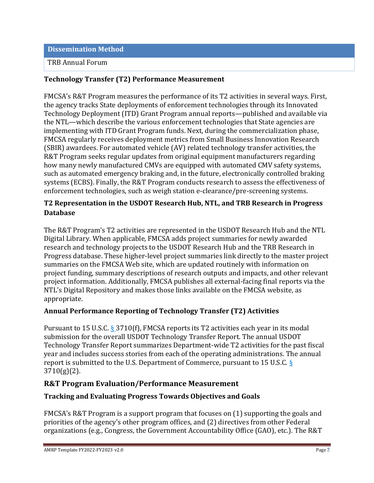**Dissemination Method**

#### TRB Annual Forum

## **Technology Transfer (T2) Performance Measurement**

FMCSA's R&T Program measures the performance of its T2 activities in several ways. First, the agency tracks State deployments of enforcement technologies through its Innovated Technology Deployment (ITD) Grant Program annual reports—published and available via the NTL—which describe the various enforcement technologies that State agencies are implementing with ITD Grant Program funds. Next, during the commercialization phase, FMCSA regularly receives deployment metrics from Small Business Innovation Research (SBIR) awardees. For automated vehicle (AV) related technology transfer activities, the R&T Program seeks regular updates from original equipment manufacturers regarding how many newly manufactured CMVs are equipped with automated CMV safety systems, such as automated emergency braking and, in the future, electronically controlled braking systems (ECBS). Finally, the R&T Program conducts research to assess the effectiveness of enforcement technologies, such as weigh station e-clearance/pre-screening systems.

## **T2 Representation in the USDOT Research Hub, NTL, and TRB Research in Progress Database**

The R&T Program's T2 activities are represented in the USDOT Research Hub and the NTL Digital Library. When applicable, FMCSA adds project summaries for newly awarded research and technology projects to the USDOT Research Hub and the TRB Research in Progress database. These higher-level project summaries link directly to the master project summaries on the FMCSA Web site, which are updated routinely with information on project funding, summary descriptions of research outputs and impacts, and other relevant project information. Additionally, FMCSA publishes all external-facing final reports via the NTL's Digital Repository and makes those links available on the FMCSA website, as appropriate.

## **Annual Performance Reporting of Technology Transfer (T2) Activities**

Pursuant to 15 U.S.C. § 3710(f), FMCSA reports its T2 activities each year in its modal submission for the overall USDOT Technology Transfer Report. The annual USDOT Technology Transfer Report summarizes Department-wide T2 activities for the past fiscal year and includes success stories from each of the operating administrations. The annual report is submitted to the U.S. Department of Commerce, pursuant to 15 U.S.C. §  $3710(g)(2)$ .

## **R&T Program Evaluation/Performance Measurement**

#### **Tracking and Evaluating Progress Towards Objectives and Goals**

FMCSA's R&T Program is a support program that focuses on (1) supporting the goals and priorities of the agency's other program offices, and (2) directives from other Federal organizations (e.g., Congress, the Government Accountability Office (GAO), etc.). The R&T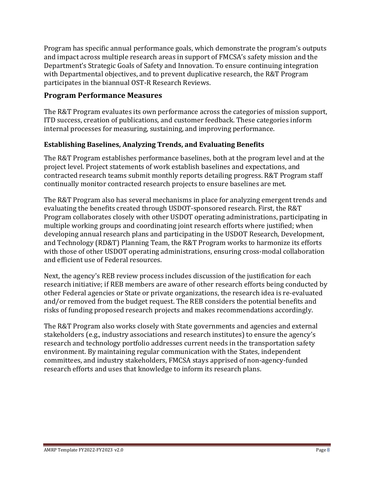Program has specific annual performance goals, which demonstrate the program's outputs and impact across multiple research areas in support of FMCSA's safety mission and the Department's Strategic Goals of Safety and Innovation. To ensure continuing integration with Departmental objectives, and to prevent duplicative research, the R&T Program participates in the biannual OST-R Research Reviews.

## **Program Performance Measures**

The R&T Program evaluates its own performance across the categories of mission support, ITD success, creation of publications, and customer feedback. These categories inform internal processes for measuring, sustaining, and improving performance.

## **Establishing Baselines, Analyzing Trends, and Evaluating Benefits**

The R&T Program establishes performance baselines, both at the program level and at the project level. Project statements of work establish baselines and expectations, and contracted research teams submit monthly reports detailing progress. R&T Program staff continually monitor contracted research projects to ensure baselines are met.

The R&T Program also has several mechanisms in place for analyzing emergent trends and evaluating the benefits created through USDOT-sponsored research. First, the R&T Program collaborates closely with other USDOT operating administrations, participating in multiple working groups and coordinating joint research efforts where justified; when developing annual research plans and participating in the USDOT Research, Development, and Technology (RD&T) Planning Team, the R&T Program works to harmonize its efforts with those of other USDOT operating administrations, ensuring cross-modal collaboration and efficient use of Federal resources.

Next, the agency's REB review process includes discussion of the justification for each research initiative; if REB members are aware of other research efforts being conducted by other Federal agencies or State or private organizations, the research idea is re-evaluated and/or removed from the budget request. The REB considers the potential benefits and risks of funding proposed research projects and makes recommendations accordingly.

The R&T Program also works closely with State governments and agencies and external stakeholders (e.g., industry associations and research institutes) to ensure the agency's research and technology portfolio addresses current needs in the transportation safety environment. By maintaining regular communication with the States, independent committees, and industry stakeholders, FMCSA stays apprised of non-agency-funded research efforts and uses that knowledge to inform its research plans.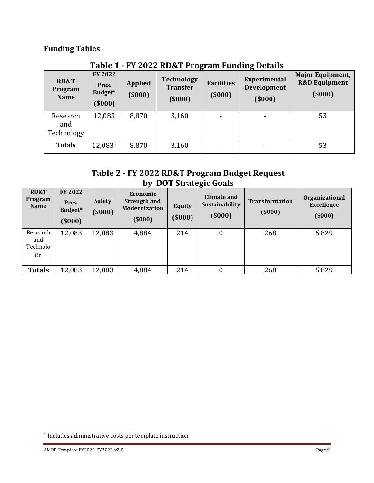# **Funding Tables**

| <b>RD&amp;T</b><br>Program<br><b>Name</b> | FY 2022<br>Pres.<br>Budget*<br>(5000) | <b>Applied</b><br>(5000) | $\cdot$<br><b>Technology</b><br><b>Transfer</b><br>(5000) | <b>Facilities</b><br>(5000) | <b>Experimental</b><br><b>Development</b><br>(5000) | <b>Major Equipment,</b><br><b>R&amp;D Equipment</b><br>(\$000) |
|-------------------------------------------|---------------------------------------|--------------------------|-----------------------------------------------------------|-----------------------------|-----------------------------------------------------|----------------------------------------------------------------|
| Research<br>and<br>Technology             | 12,083                                | 8,870                    | 3,160                                                     | $\overline{\phantom{a}}$    | -                                                   | 53                                                             |
| <b>Totals</b>                             | 12,0831                               | 8,870                    | 3,160                                                     | $\overline{\phantom{a}}$    |                                                     | 53                                                             |

# **Table 1 - FY 2022 RD&T Program Funding Details**

# **Table 2 - FY 2022 RD&T Program Budget Request by DOT Strategic Goals**

| <b>RD&amp;T</b><br>Program<br><b>Name</b> | <b>FY 2022</b><br>Pres.<br>Budget*<br>(5000) | <b>Safety</b><br>(5000) | Economic<br><b>Strength and</b><br><b>Modernization</b><br>(5000) | <b>Equity</b><br>(5000) | Climate and<br>Sustainability<br>(5000) | <b>Transformation</b><br>(5000) | Organizational<br><b>Excellence</b><br>(5000) |
|-------------------------------------------|----------------------------------------------|-------------------------|-------------------------------------------------------------------|-------------------------|-----------------------------------------|---------------------------------|-----------------------------------------------|
| Research<br>and<br>Technolo<br>gy         | 12,083                                       | 12,083                  | 4,884                                                             | 214                     | 0                                       | 268                             | 5,829                                         |
| <b>Totals</b>                             | 12,083                                       | 12,083                  | 4,884                                                             | 214                     | 0                                       | 268                             | 5,829                                         |

<sup>1</sup> Includes administrative costs per template instruction.

AMRP Template FY2022-FY2023 v2.0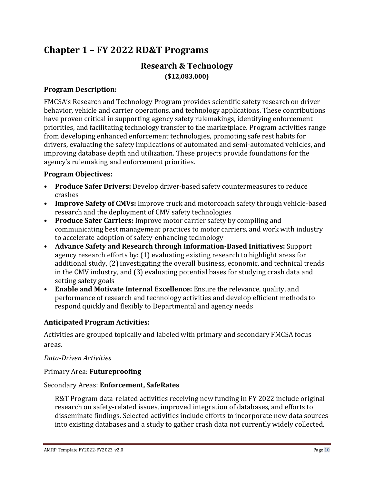# **Chapter 1 – FY 2022 RD&T Programs**

# **Research & Technology (\$12,083,000)**

#### **Program Description:**

FMCSA's Research and Technology Program provides scientific safety research on driver behavior, vehicle and carrier operations, and technology applications. These contributions have proven critical in supporting agency safety rulemakings, identifying enforcement priorities, and facilitating technology transfer to the marketplace. Program activities range from developing enhanced enforcement technologies, promoting safe rest habits for drivers, evaluating the safety implications of automated and semi-automated vehicles, and improving database depth and utilization. These projects provide foundations for the agency's rulemaking and enforcement priorities.

#### **Program Objectives:**

- **Produce Safer Drivers:** Develop driver-based safety countermeasures to reduce crashes
- **Improve Safety of CMVs:** Improve truck and motorcoach safety through vehicle-based research and the deployment of CMV safety technologies
- **Produce Safer Carriers:** Improve motor carrier safety by compiling and communicating best management practices to motor carriers, and work with industry to accelerate adoption of safety-enhancing technology
- **Advance Safety and Research through Information-Based Initiatives:** Support agency research efforts by: (1) evaluating existing research to highlight areas for additional study, (2) investigating the overall business, economic, and technical trends in the CMV industry, and (3) evaluating potential bases for studying crash data and setting safety goals
- **Enable and Motivate Internal Excellence:** Ensure the relevance, quality, and performance of research and technology activities and develop efficient methods to respond quickly and flexibly to Departmental and agency needs

#### **Anticipated Program Activities:**

Activities are grouped topically and labeled with primary and secondary FMCSA focus areas.

#### *Data-Driven Activities*

#### Primary Area: **Futureproofing**

#### Secondary Areas: **Enforcement, SafeRates**

R&T Program data-related activities receiving new funding in FY 2022 include original research on safety-related issues, improved integration of databases, and efforts to disseminate findings. Selected activities include efforts to incorporate new data sources into existing databases and a study to gather crash data not currently widely collected.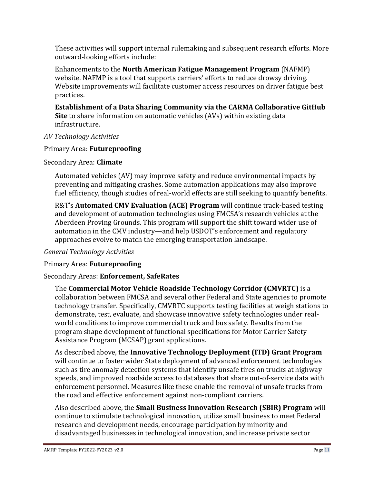These activities will support internal rulemaking and subsequent research efforts. More outward-looking efforts include:

Enhancements to the **North American Fatigue Management Program** (NAFMP) website. NAFMP is a tool that supports carriers' efforts to reduce drowsy driving. Website improvements will facilitate customer access resources on driver fatigue best practices.

**Establishment of a Data Sharing Community via the CARMA Collaborative GitHub Site** to share information on automatic vehicles (AVs) within existing data infrastructure.

## *AV Technology Activities*

## Primary Area: **Futureproofing**

## Secondary Area: **Climate**

Automated vehicles (AV) may improve safety and reduce environmental impacts by preventing and mitigating crashes. Some automation applications may also improve fuel efficiency, though studies of real-world effects are still seeking to quantify benefits.

R&T's **Automated CMV Evaluation (ACE) Program** will continue track-based testing and development of automation technologies using FMCSA's research vehicles at the Aberdeen Proving Grounds. This program will support the shift toward wider use of automation in the CMV industry—and help USDOT's enforcement and regulatory approaches evolve to match the emerging transportation landscape.

## *General Technology Activities*

# Primary Area: **Futureproofing**

# Secondary Areas: **Enforcement, SafeRates**

The **Commercial Motor Vehicle Roadside Technology Corridor (CMVRTC)** is a collaboration between FMCSA and several other Federal and State agencies to promote technology transfer. Specifically, CMVRTC supports testing facilities at weigh stations to demonstrate, test, evaluate, and showcase innovative safety technologies under realworld conditions to improve commercial truck and bus safety. Results from the program shape development of functional specifications for Motor Carrier Safety Assistance Program (MCSAP) grant applications.

As described above, the **Innovative Technology Deployment (ITD) Grant Program** will continue to foster wider State deployment of advanced enforcement technologies such as tire anomaly detection systems that identify unsafe tires on trucks at highway speeds, and improved roadside access to databases that share out-of-service data with enforcement personnel. Measures like these enable the removal of unsafe trucks from the road and effective enforcement against non-compliant carriers.

Also described above, the **Small Business Innovation Research (SBIR) Program** will continue to stimulate technological innovation, utilize small business to meet Federal research and development needs, encourage participation by minority and disadvantaged businesses in technological innovation, and increase private sector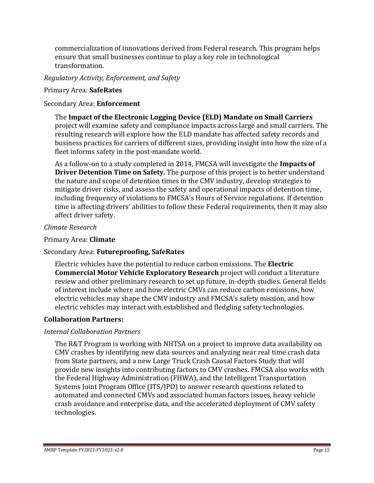commercialization of innovations derived from Federal research. This program helps ensure that small businesses continue to play a key role in technological transformation.

## *Regulatory Activity, Enforcement, and Safety*

#### Primary Area: **SafeRates**

#### Secondary Area: **Enforcement**

The **Impact of the Electronic Logging Device (ELD) Mandate on Small Carriers** project will examine safety and compliance impacts across large and small carriers. The resulting research will explore how the ELD mandate has affected safety records and business practices for carriers of different sizes, providing insight into how the size of a fleet informs safety in the post-mandate world.

As a follow-on to a study completed in 2014, FMCSA will investigate the **Impacts of Driver Detention Time on Safety.** The purpose of this project is to better understand the nature and scope of detention times in the CMV industry, develop strategies to mitigate driver risks, and assess the safety and operational impacts of detention time, including frequency of violations to FMCSA's Hours of Service regulations. If detention time is affecting drivers' abilities to follow these Federal requirements, then it may also affect driver safety.

#### *Climate Research*

#### Primary Area: **Climate**

## Secondary Area: **Futureproofing, SafeRates**

Electric vehicles have the potential to reduce carbon emissions. The **Electric Commercial Motor Vehicle Exploratory Research** project will conduct a literature review and other preliminary research to set up future, in-depth studies. General fields of interest include where and how electric CMVs can reduce carbon emissions, how electric vehicles may shape the CMV industry and FMCSA's safety mission, and how electric vehicles may interact with established and fledgling safety technologies.

## **Collaboration Partners:**

## *Internal Collaboration Partners*

The R&T Program is working with NHTSA on a project to improve data availability on CMV crashes by identifying new data sources and analyzing near real time crash data from State partners, and a new Large Truck Crash Causal Factors Study that will provide new insights into contributing factors to CMV crashes. FMCSA also works with the Federal Highway Administration (FHWA), and the Intelligent Transportation Systems Joint Program Office (ITS/JPO) to answer research questions related to automated and connected CMVs and associated human factors issues, heavy vehicle crash avoidance and enterprise data, and the accelerated deployment of CMV safety technologies.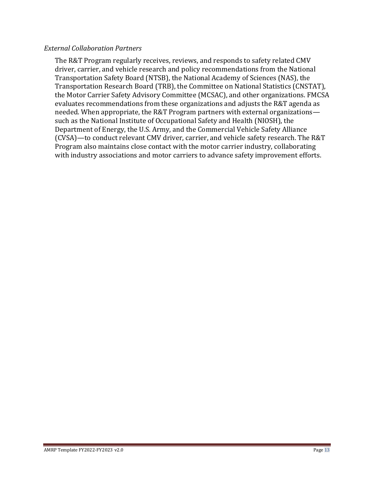#### *External Collaboration Partners*

The R&T Program regularly receives, reviews, and responds to safety related CMV driver, carrier, and vehicle research and policy recommendations from the National Transportation Safety Board (NTSB), the National Academy of Sciences (NAS), the Transportation Research Board (TRB), the Committee on National Statistics (CNSTAT), the Motor Carrier Safety Advisory Committee (MCSAC), and other organizations. FMCSA evaluates recommendations from these organizations and adjusts the R&T agenda as needed. When appropriate, the R&T Program partners with external organizations such as the National Institute of Occupational Safety and Health (NIOSH), the Department of Energy, the U.S. Army, and the Commercial Vehicle Safety Alliance (CVSA)—to conduct relevant CMV driver, carrier, and vehicle safety research. The R&T Program also maintains close contact with the motor carrier industry, collaborating with industry associations and motor carriers to advance safety improvement efforts.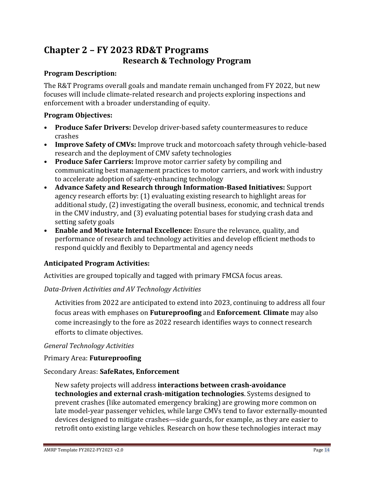# **Chapter 2 – FY 2023 RD&T Programs Research & Technology Program**

#### **Program Description:**

The R&T Programs overall goals and mandate remain unchanged from FY 2022, but new focuses will include climate-related research and projects exploring inspections and enforcement with a broader understanding of equity.

#### **Program Objectives:**

- **Produce Safer Drivers:** Develop driver-based safety countermeasures to reduce crashes
- **Improve Safety of CMVs:** Improve truck and motorcoach safety through vehicle-based research and the deployment of CMV safety technologies
- **Produce Safer Carriers:** Improve motor carrier safety by compiling and communicating best management practices to motor carriers, and work with industry to accelerate adoption of safety-enhancing technology
- **Advance Safety and Research through Information-Based Initiatives:** Support agency research efforts by: (1) evaluating existing research to highlight areas for additional study, (2) investigating the overall business, economic, and technical trends in the CMV industry, and (3) evaluating potential bases for studying crash data and setting safety goals
- **Enable and Motivate Internal Excellence:** Ensure the relevance, quality, and performance of research and technology activities and develop efficient methods to respond quickly and flexibly to Departmental and agency needs

## **Anticipated Program Activities:**

Activities are grouped topically and tagged with primary FMCSA focus areas.

*Data-Driven Activities and AV Technology Activities*

Activities from 2022 are anticipated to extend into 2023, continuing to address all four focus areas with emphases on **Futureproofing** and **Enforcement**. **Climate** may also come increasingly to the fore as 2022 research identifies ways to connect research efforts to climate objectives.

#### *General Technology Activities*

Primary Area: **Futureproofing**

#### Secondary Areas: **SafeRates, Enforcement**

New safety projects will address **interactions between crash-avoidance technologies and external crash-mitigation technologies**. Systems designed to prevent crashes (like automated emergency braking) are growing more common on late model-year passenger vehicles, while large CMVs tend to favor externally-mounted devices designed to mitigate crashes—side guards, for example, as they are easier to retrofit onto existing large vehicles. Research on how these technologies interact may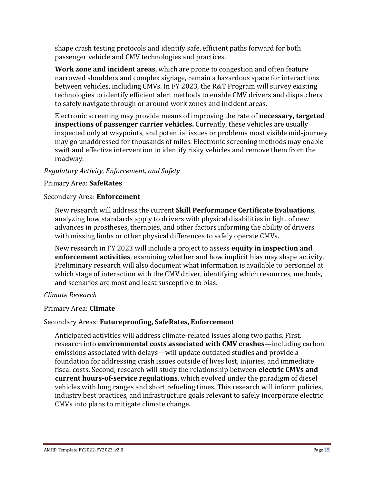shape crash testing protocols and identify safe, efficient paths forward for both passenger vehicle and CMV technologies and practices.

**Work zone and incident areas**, which are prone to congestion and often feature narrowed shoulders and complex signage, remain a hazardous space for interactions between vehicles, including CMVs. In FY 2023, the R&T Program will survey existing technologies to identify efficient alert methods to enable CMV drivers and dispatchers to safely navigate through or around work zones and incident areas.

Electronic screening may provide means of improving the rate of **necessary, targeted inspections of passenger carrier vehicles.** Currently, these vehicles are usually inspected only at waypoints, and potential issues or problems most visible mid-journey may go unaddressed for thousands of miles. Electronic screening methods may enable swift and effective intervention to identify risky vehicles and remove them from the roadway.

# *Regulatory Activity, Enforcement, and Safety*

## Primary Area: **SafeRates**

## Secondary Area: **Enforcement**

New research will address the current **Skill Performance Certificate Evaluations**, analyzing how standards apply to drivers with physical disabilities in light of new advances in prostheses, therapies, and other factors informing the ability of drivers with missing limbs or other physical differences to safely operate CMVs.

New research in FY 2023 will include a project to assess **equity in inspection and enforcement activities**, examining whether and how implicit bias may shape activity. Preliminary research will also document what information is available to personnel at which stage of interaction with the CMV driver, identifying which resources, methods, and scenarios are most and least susceptible to bias.

# *Climate Research*

# Primary Area: **Climate**

# Secondary Areas: **Futureproofing, SafeRates, Enforcement**

Anticipated activities will address climate-related issues along two paths. First, research into **environmental costs associated with CMV crashes**—including carbon emissions associated with delays—will update outdated studies and provide a foundation for addressing crash issues outside of lives lost, injuries, and immediate fiscal costs. Second, research will study the relationship between **electric CMVs and current hours-of-service regulations**, which evolved under the paradigm of diesel vehicles with long ranges and short refueling times. This research will inform policies, industry best practices, and infrastructure goals relevant to safely incorporate electric CMVs into plans to mitigate climate change.